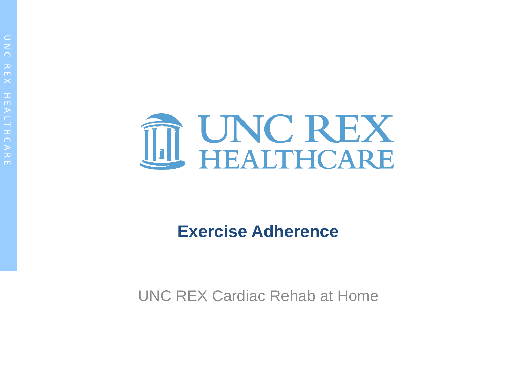

#### **Exercise Adherence**

UNC REX Cardiac Rehab at Home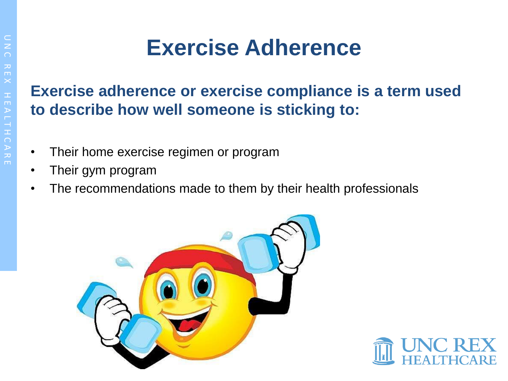### **Exercise Adherence**

#### **Exercise adherence or exercise compliance is a term used to describe how well someone is sticking to:**

- Their home exercise regimen or program
- Their gym program
- The recommendations made to them by their health professionals



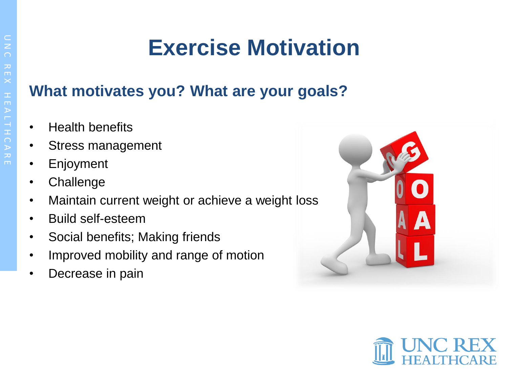# **Exercise Motivation**

#### **What motivates you? What are your goals?**

- Health benefits
- Stress management
- **Enjoyment**
- Challenge
- Maintain current weight or achieve a weight loss
- Build self-esteem
- Social benefits; Making friends
- Improved mobility and range of motion
- Decrease in pain



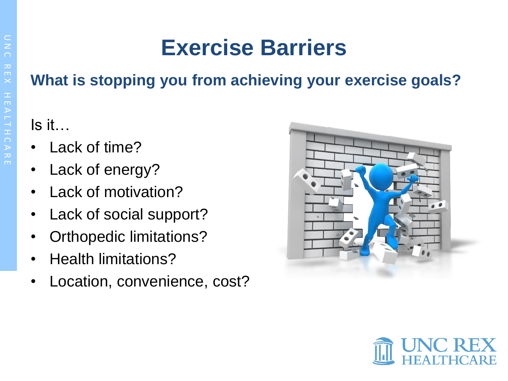## **Exercise Barriers**

### **What is stopping you from achieving your exercise goals?**

### Is it…

- Lack of time?
- Lack of energy?
- Lack of motivation?
- Lack of social support?
- Orthopedic limitations?
- Health limitations?
- Location, convenience, cost?



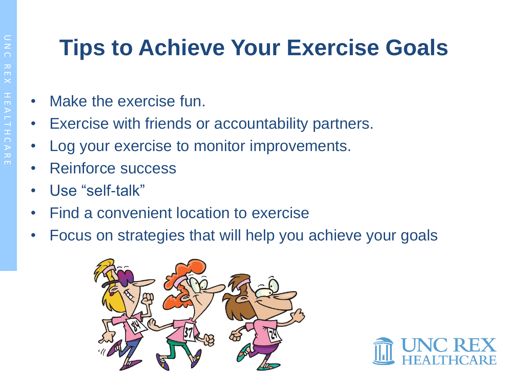## **Tips to Achieve Your Exercise Goals**

- Make the exercise fun.
- Exercise with friends or accountability partners.
- Log your exercise to monitor improvements.
- Reinforce success
- Use "self-talk"
- Find a convenient location to exercise
- Focus on strategies that will help you achieve your goals



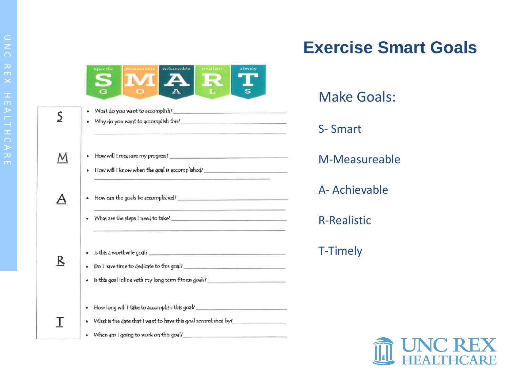|   | Realistic<br>Achievable<br>Specific<br>Timuh                                                                                                                                                |
|---|---------------------------------------------------------------------------------------------------------------------------------------------------------------------------------------------|
| S |                                                                                                                                                                                             |
|   | How will I know when the goal is accomplished?                                                                                                                                              |
|   |                                                                                                                                                                                             |
| Κ | Is this goal inline with my long term fitness goals? ___________________________                                                                                                            |
|   | How long will I take to accomplish this goal? __________________________________<br>What is the date that I want to have this goal accomished by?_<br>When am I going to work on this goal? |

### **Exercise Smart Goals**

| Make Goals:        |
|--------------------|
| S-Smart            |
| M-Measureable      |
| A- Achievable      |
| <b>R-Realistic</b> |
| <b>T-Timely</b>    |
|                    |